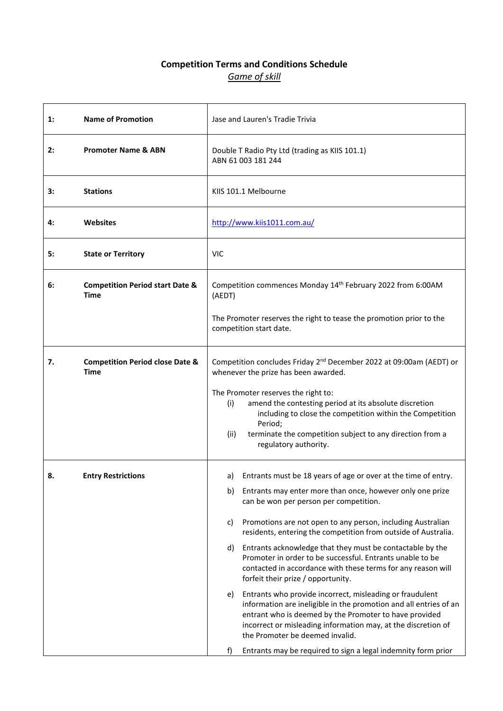### **Competition Terms and Conditions Schedule** *Game of skill*

| 1: | <b>Name of Promotion</b>                                  | Jase and Lauren's Tradie Trivia                                                                                                                                                                                                                                                                   |
|----|-----------------------------------------------------------|---------------------------------------------------------------------------------------------------------------------------------------------------------------------------------------------------------------------------------------------------------------------------------------------------|
| 2: | <b>Promoter Name &amp; ABN</b>                            | Double T Radio Pty Ltd (trading as KIIS 101.1)<br>ABN 61 003 181 244                                                                                                                                                                                                                              |
| 3: | <b>Stations</b>                                           | KIIS 101.1 Melbourne                                                                                                                                                                                                                                                                              |
| 4: | Websites                                                  | http://www.kiis1011.com.au/                                                                                                                                                                                                                                                                       |
| 5: | <b>State or Territory</b>                                 | <b>VIC</b>                                                                                                                                                                                                                                                                                        |
| 6: | <b>Competition Period start Date &amp;</b><br><b>Time</b> | Competition commences Monday 14 <sup>th</sup> February 2022 from 6:00AM<br>(AEDT)                                                                                                                                                                                                                 |
|    |                                                           | The Promoter reserves the right to tease the promotion prior to the<br>competition start date.                                                                                                                                                                                                    |
| 7. | <b>Competition Period close Date &amp;</b><br>Time        | Competition concludes Friday 2 <sup>nd</sup> December 2022 at 09:00am (AEDT) or<br>whenever the prize has been awarded.                                                                                                                                                                           |
|    |                                                           | The Promoter reserves the right to:<br>amend the contesting period at its absolute discretion<br>(i)<br>including to close the competition within the Competition<br>Period;<br>terminate the competition subject to any direction from a<br>(ii)<br>regulatory authority.                        |
| 8. | <b>Entry Restrictions</b>                                 | Entrants must be 18 years of age or over at the time of entry.<br>a)                                                                                                                                                                                                                              |
|    |                                                           | Entrants may enter more than once, however only one prize<br>b)<br>can be won per person per competition.                                                                                                                                                                                         |
|    |                                                           | Promotions are not open to any person, including Australian<br>C)<br>residents, entering the competition from outside of Australia.                                                                                                                                                               |
|    |                                                           | d) Entrants acknowledge that they must be contactable by the<br>Promoter in order to be successful. Entrants unable to be<br>contacted in accordance with these terms for any reason will<br>forfeit their prize / opportunity.                                                                   |
|    |                                                           | Entrants who provide incorrect, misleading or fraudulent<br>e)<br>information are ineligible in the promotion and all entries of an<br>entrant who is deemed by the Promoter to have provided<br>incorrect or misleading information may, at the discretion of<br>the Promoter be deemed invalid. |
|    |                                                           | Entrants may be required to sign a legal indemnity form prior<br>f)                                                                                                                                                                                                                               |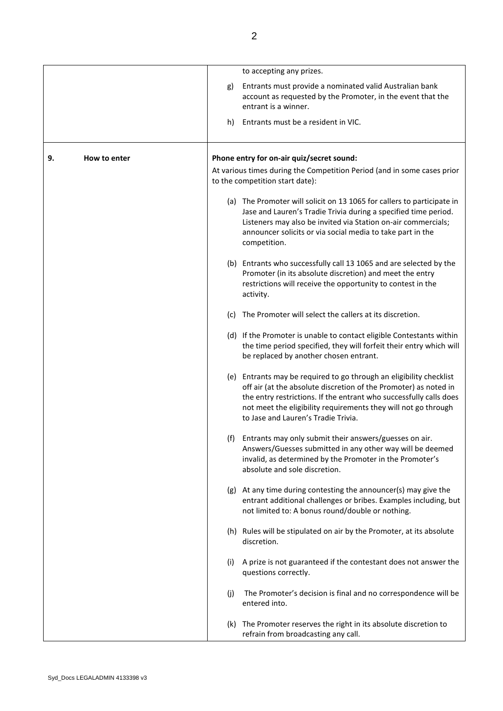|    |              |     | to accepting any prizes.                                                                                                                                                                                                                                                                                               |
|----|--------------|-----|------------------------------------------------------------------------------------------------------------------------------------------------------------------------------------------------------------------------------------------------------------------------------------------------------------------------|
|    |              | g)  | Entrants must provide a nominated valid Australian bank<br>account as requested by the Promoter, in the event that the<br>entrant is a winner.                                                                                                                                                                         |
|    |              | h)  | Entrants must be a resident in VIC.                                                                                                                                                                                                                                                                                    |
| 9. | How to enter |     | Phone entry for on-air quiz/secret sound:                                                                                                                                                                                                                                                                              |
|    |              |     | At various times during the Competition Period (and in some cases prior<br>to the competition start date):                                                                                                                                                                                                             |
|    |              |     | (a) The Promoter will solicit on 13 1065 for callers to participate in<br>Jase and Lauren's Tradie Trivia during a specified time period.<br>Listeners may also be invited via Station on-air commercials;<br>announcer solicits or via social media to take part in the<br>competition.                               |
|    |              |     | (b) Entrants who successfully call 13 1065 and are selected by the<br>Promoter (in its absolute discretion) and meet the entry<br>restrictions will receive the opportunity to contest in the<br>activity.                                                                                                             |
|    |              | (C) | The Promoter will select the callers at its discretion.                                                                                                                                                                                                                                                                |
|    |              |     | (d) If the Promoter is unable to contact eligible Contestants within<br>the time period specified, they will forfeit their entry which will<br>be replaced by another chosen entrant.                                                                                                                                  |
|    |              |     | (e) Entrants may be required to go through an eligibility checklist<br>off air (at the absolute discretion of the Promoter) as noted in<br>the entry restrictions. If the entrant who successfully calls does<br>not meet the eligibility requirements they will not go through<br>to Jase and Lauren's Tradie Trivia. |
|    |              |     | (f) Entrants may only submit their answers/guesses on air.<br>Answers/Guesses submitted in any other way will be deemed<br>invalid, as determined by the Promoter in the Promoter's<br>absolute and sole discretion.                                                                                                   |
|    |              |     | (g) At any time during contesting the announcer(s) may give the<br>entrant additional challenges or bribes. Examples including, but<br>not limited to: A bonus round/double or nothing.                                                                                                                                |
|    |              |     | (h) Rules will be stipulated on air by the Promoter, at its absolute<br>discretion.                                                                                                                                                                                                                                    |
|    |              | (i) | A prize is not guaranteed if the contestant does not answer the<br>questions correctly.                                                                                                                                                                                                                                |
|    |              | (j) | The Promoter's decision is final and no correspondence will be<br>entered into.                                                                                                                                                                                                                                        |
|    |              |     | (k) The Promoter reserves the right in its absolute discretion to<br>refrain from broadcasting any call.                                                                                                                                                                                                               |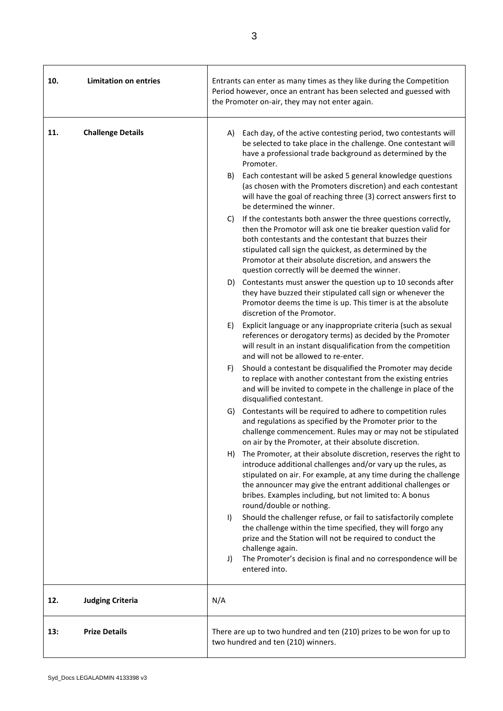| 10. | <b>Limitation on entries</b> | Entrants can enter as many times as they like during the Competition<br>Period however, once an entrant has been selected and guessed with<br>the Promoter on-air, they may not enter again.                                                                                                                                                                        |
|-----|------------------------------|---------------------------------------------------------------------------------------------------------------------------------------------------------------------------------------------------------------------------------------------------------------------------------------------------------------------------------------------------------------------|
| 11. | <b>Challenge Details</b>     | Each day, of the active contesting period, two contestants will<br>A)<br>be selected to take place in the challenge. One contestant will<br>have a professional trade background as determined by the<br>Promoter.                                                                                                                                                  |
|     |                              | Each contestant will be asked 5 general knowledge questions<br>B)<br>(as chosen with the Promoters discretion) and each contestant<br>will have the goal of reaching three (3) correct answers first to<br>be determined the winner.                                                                                                                                |
|     |                              | If the contestants both answer the three questions correctly,<br>C)<br>then the Promotor will ask one tie breaker question valid for<br>both contestants and the contestant that buzzes their<br>stipulated call sign the quickest, as determined by the<br>Promotor at their absolute discretion, and answers the<br>question correctly will be deemed the winner. |
|     |                              | D) Contestants must answer the question up to 10 seconds after<br>they have buzzed their stipulated call sign or whenever the<br>Promotor deems the time is up. This timer is at the absolute<br>discretion of the Promotor.                                                                                                                                        |
|     |                              | Explicit language or any inappropriate criteria (such as sexual<br>E)<br>references or derogatory terms) as decided by the Promoter<br>will result in an instant disqualification from the competition<br>and will not be allowed to re-enter.                                                                                                                      |
|     |                              | Should a contestant be disqualified the Promoter may decide<br>F)<br>to replace with another contestant from the existing entries<br>and will be invited to compete in the challenge in place of the<br>disqualified contestant.                                                                                                                                    |
|     |                              | G) Contestants will be required to adhere to competition rules<br>and regulations as specified by the Promoter prior to the<br>challenge commencement. Rules may or may not be stipulated<br>on air by the Promoter, at their absolute discretion.                                                                                                                  |
|     |                              | The Promoter, at their absolute discretion, reserves the right to<br>H)<br>introduce additional challenges and/or vary up the rules, as<br>stipulated on air. For example, at any time during the challenge<br>the announcer may give the entrant additional challenges or<br>bribes. Examples including, but not limited to: A bonus<br>round/double or nothing.   |
|     |                              | Should the challenger refuse, or fail to satisfactorily complete<br>$\vert$<br>the challenge within the time specified, they will forgo any<br>prize and the Station will not be required to conduct the<br>challenge again.                                                                                                                                        |
|     |                              | The Promoter's decision is final and no correspondence will be<br>J)<br>entered into.                                                                                                                                                                                                                                                                               |
| 12. | <b>Judging Criteria</b>      | N/A                                                                                                                                                                                                                                                                                                                                                                 |
| 13: | <b>Prize Details</b>         | There are up to two hundred and ten (210) prizes to be won for up to<br>two hundred and ten (210) winners.                                                                                                                                                                                                                                                          |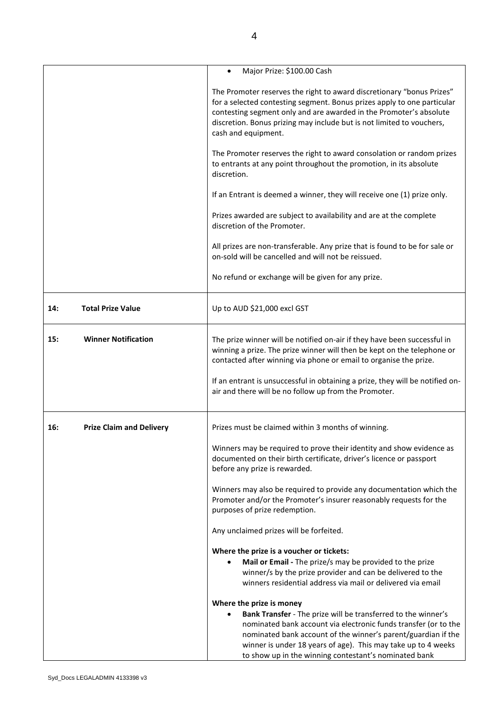|     |                                 | Major Prize: \$100.00 Cash                                                                                                                                                                                                                                                                                                  |
|-----|---------------------------------|-----------------------------------------------------------------------------------------------------------------------------------------------------------------------------------------------------------------------------------------------------------------------------------------------------------------------------|
|     |                                 | The Promoter reserves the right to award discretionary "bonus Prizes"<br>for a selected contesting segment. Bonus prizes apply to one particular<br>contesting segment only and are awarded in the Promoter's absolute<br>discretion. Bonus prizing may include but is not limited to vouchers,<br>cash and equipment.      |
|     |                                 | The Promoter reserves the right to award consolation or random prizes<br>to entrants at any point throughout the promotion, in its absolute<br>discretion.                                                                                                                                                                  |
|     |                                 | If an Entrant is deemed a winner, they will receive one (1) prize only.                                                                                                                                                                                                                                                     |
|     |                                 | Prizes awarded are subject to availability and are at the complete<br>discretion of the Promoter.                                                                                                                                                                                                                           |
|     |                                 | All prizes are non-transferable. Any prize that is found to be for sale or<br>on-sold will be cancelled and will not be reissued.                                                                                                                                                                                           |
|     |                                 | No refund or exchange will be given for any prize.                                                                                                                                                                                                                                                                          |
| 14: | <b>Total Prize Value</b>        | Up to AUD \$21,000 excl GST                                                                                                                                                                                                                                                                                                 |
| 15: | <b>Winner Notification</b>      | The prize winner will be notified on-air if they have been successful in<br>winning a prize. The prize winner will then be kept on the telephone or<br>contacted after winning via phone or email to organise the prize.                                                                                                    |
|     |                                 | If an entrant is unsuccessful in obtaining a prize, they will be notified on-<br>air and there will be no follow up from the Promoter.                                                                                                                                                                                      |
| 16: | <b>Prize Claim and Delivery</b> | Prizes must be claimed within 3 months of winning.                                                                                                                                                                                                                                                                          |
|     |                                 | Winners may be required to prove their identity and show evidence as<br>documented on their birth certificate, driver's licence or passport<br>before any prize is rewarded.                                                                                                                                                |
|     |                                 | Winners may also be required to provide any documentation which the<br>Promoter and/or the Promoter's insurer reasonably requests for the<br>purposes of prize redemption.                                                                                                                                                  |
|     |                                 | Any unclaimed prizes will be forfeited.                                                                                                                                                                                                                                                                                     |
|     |                                 | Where the prize is a voucher or tickets:                                                                                                                                                                                                                                                                                    |
|     |                                 | Mail or Email - The prize/s may be provided to the prize<br>winner/s by the prize provider and can be delivered to the<br>winners residential address via mail or delivered via email                                                                                                                                       |
|     |                                 | Where the prize is money                                                                                                                                                                                                                                                                                                    |
|     |                                 | Bank Transfer - The prize will be transferred to the winner's<br>nominated bank account via electronic funds transfer (or to the<br>nominated bank account of the winner's parent/guardian if the<br>winner is under 18 years of age). This may take up to 4 weeks<br>to show up in the winning contestant's nominated bank |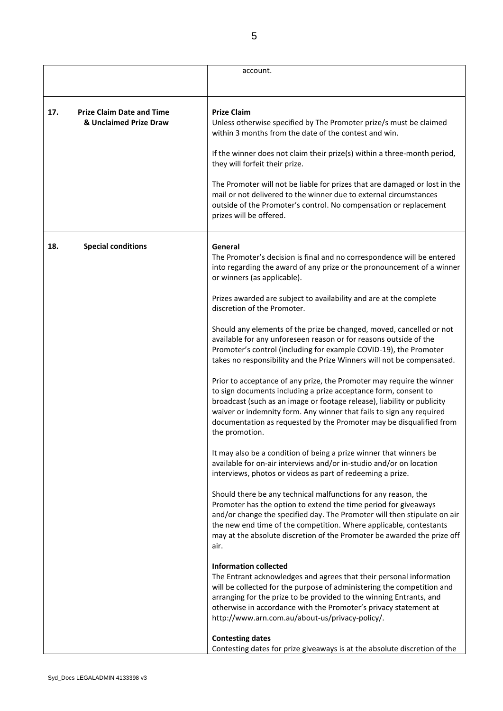|                                                                   | account.                                                                                                                                                                                                                                                                                                                                                                             |
|-------------------------------------------------------------------|--------------------------------------------------------------------------------------------------------------------------------------------------------------------------------------------------------------------------------------------------------------------------------------------------------------------------------------------------------------------------------------|
|                                                                   |                                                                                                                                                                                                                                                                                                                                                                                      |
| <b>Prize Claim Date and Time</b><br>17.<br>& Unclaimed Prize Draw | <b>Prize Claim</b><br>Unless otherwise specified by The Promoter prize/s must be claimed<br>within 3 months from the date of the contest and win.                                                                                                                                                                                                                                    |
|                                                                   | If the winner does not claim their prize(s) within a three-month period,<br>they will forfeit their prize.                                                                                                                                                                                                                                                                           |
|                                                                   | The Promoter will not be liable for prizes that are damaged or lost in the<br>mail or not delivered to the winner due to external circumstances<br>outside of the Promoter's control. No compensation or replacement<br>prizes will be offered.                                                                                                                                      |
| <b>Special conditions</b><br>18.                                  | General<br>The Promoter's decision is final and no correspondence will be entered<br>into regarding the award of any prize or the pronouncement of a winner<br>or winners (as applicable).                                                                                                                                                                                           |
|                                                                   | Prizes awarded are subject to availability and are at the complete<br>discretion of the Promoter.                                                                                                                                                                                                                                                                                    |
|                                                                   | Should any elements of the prize be changed, moved, cancelled or not<br>available for any unforeseen reason or for reasons outside of the<br>Promoter's control (including for example COVID-19), the Promoter<br>takes no responsibility and the Prize Winners will not be compensated.                                                                                             |
|                                                                   | Prior to acceptance of any prize, the Promoter may require the winner<br>to sign documents including a prize acceptance form, consent to<br>broadcast (such as an image or footage release), liability or publicity<br>waiver or indemnity form. Any winner that fails to sign any required<br>documentation as requested by the Promoter may be disqualified from<br>the promotion. |
|                                                                   | It may also be a condition of being a prize winner that winners be<br>available for on-air interviews and/or in-studio and/or on location<br>interviews, photos or videos as part of redeeming a prize.                                                                                                                                                                              |
|                                                                   | Should there be any technical malfunctions for any reason, the<br>Promoter has the option to extend the time period for giveaways<br>and/or change the specified day. The Promoter will then stipulate on air<br>the new end time of the competition. Where applicable, contestants<br>may at the absolute discretion of the Promoter be awarded the prize off<br>air.               |
|                                                                   | <b>Information collected</b><br>The Entrant acknowledges and agrees that their personal information<br>will be collected for the purpose of administering the competition and<br>arranging for the prize to be provided to the winning Entrants, and<br>otherwise in accordance with the Promoter's privacy statement at<br>http://www.arn.com.au/about-us/privacy-policy/.          |
|                                                                   | <b>Contesting dates</b><br>Contesting dates for prize giveaways is at the absolute discretion of the                                                                                                                                                                                                                                                                                 |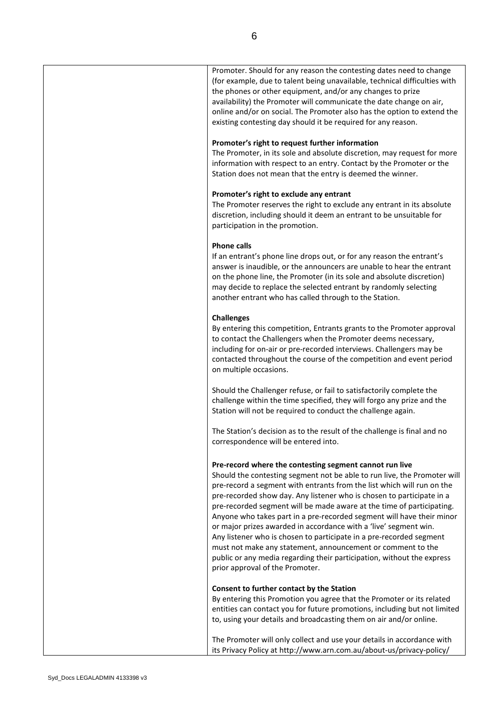| Promoter. Should for any reason the contesting dates need to change<br>(for example, due to talent being unavailable, technical difficulties with<br>the phones or other equipment, and/or any changes to prize<br>availability) the Promoter will communicate the date change on air,<br>online and/or on social. The Promoter also has the option to extend the<br>existing contesting day should it be required for any reason.                                                                                                                                                                                                                                                                                                                              |
|-----------------------------------------------------------------------------------------------------------------------------------------------------------------------------------------------------------------------------------------------------------------------------------------------------------------------------------------------------------------------------------------------------------------------------------------------------------------------------------------------------------------------------------------------------------------------------------------------------------------------------------------------------------------------------------------------------------------------------------------------------------------|
| Promoter's right to request further information<br>The Promoter, in its sole and absolute discretion, may request for more<br>information with respect to an entry. Contact by the Promoter or the<br>Station does not mean that the entry is deemed the winner.                                                                                                                                                                                                                                                                                                                                                                                                                                                                                                |
| Promoter's right to exclude any entrant<br>The Promoter reserves the right to exclude any entrant in its absolute<br>discretion, including should it deem an entrant to be unsuitable for<br>participation in the promotion.                                                                                                                                                                                                                                                                                                                                                                                                                                                                                                                                    |
| <b>Phone calls</b><br>If an entrant's phone line drops out, or for any reason the entrant's<br>answer is inaudible, or the announcers are unable to hear the entrant<br>on the phone line, the Promoter (in its sole and absolute discretion)<br>may decide to replace the selected entrant by randomly selecting<br>another entrant who has called through to the Station.                                                                                                                                                                                                                                                                                                                                                                                     |
| <b>Challenges</b><br>By entering this competition, Entrants grants to the Promoter approval<br>to contact the Challengers when the Promoter deems necessary,<br>including for on-air or pre-recorded interviews. Challengers may be<br>contacted throughout the course of the competition and event period<br>on multiple occasions.                                                                                                                                                                                                                                                                                                                                                                                                                            |
| Should the Challenger refuse, or fail to satisfactorily complete the<br>challenge within the time specified, they will forgo any prize and the<br>Station will not be required to conduct the challenge again.                                                                                                                                                                                                                                                                                                                                                                                                                                                                                                                                                  |
| The Station's decision as to the result of the challenge is final and no<br>correspondence will be entered into.                                                                                                                                                                                                                                                                                                                                                                                                                                                                                                                                                                                                                                                |
| Pre-record where the contesting segment cannot run live<br>Should the contesting segment not be able to run live, the Promoter will<br>pre-record a segment with entrants from the list which will run on the<br>pre-recorded show day. Any listener who is chosen to participate in a<br>pre-recorded segment will be made aware at the time of participating.<br>Anyone who takes part in a pre-recorded segment will have their minor<br>or major prizes awarded in accordance with a 'live' segment win.<br>Any listener who is chosen to participate in a pre-recorded segment<br>must not make any statement, announcement or comment to the<br>public or any media regarding their participation, without the express<br>prior approval of the Promoter. |
| Consent to further contact by the Station<br>By entering this Promotion you agree that the Promoter or its related<br>entities can contact you for future promotions, including but not limited<br>to, using your details and broadcasting them on air and/or online.                                                                                                                                                                                                                                                                                                                                                                                                                                                                                           |
| The Promoter will only collect and use your details in accordance with<br>its Privacy Policy at http://www.arn.com.au/about-us/privacy-policy/                                                                                                                                                                                                                                                                                                                                                                                                                                                                                                                                                                                                                  |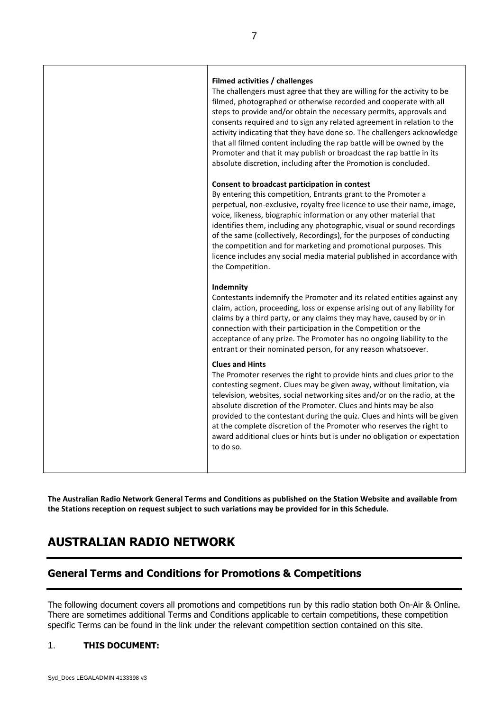| Filmed activities / challenges<br>The challengers must agree that they are willing for the activity to be<br>filmed, photographed or otherwise recorded and cooperate with all<br>steps to provide and/or obtain the necessary permits, approvals and<br>consents required and to sign any related agreement in relation to the<br>activity indicating that they have done so. The challengers acknowledge<br>that all filmed content including the rap battle will be owned by the<br>Promoter and that it may publish or broadcast the rap battle in its<br>absolute discretion, including after the Promotion is concluded. |
|--------------------------------------------------------------------------------------------------------------------------------------------------------------------------------------------------------------------------------------------------------------------------------------------------------------------------------------------------------------------------------------------------------------------------------------------------------------------------------------------------------------------------------------------------------------------------------------------------------------------------------|
| Consent to broadcast participation in contest<br>By entering this competition, Entrants grant to the Promoter a<br>perpetual, non-exclusive, royalty free licence to use their name, image,<br>voice, likeness, biographic information or any other material that<br>identifies them, including any photographic, visual or sound recordings<br>of the same (collectively, Recordings), for the purposes of conducting<br>the competition and for marketing and promotional purposes. This<br>licence includes any social media material published in accordance with<br>the Competition.                                      |
| Indemnity<br>Contestants indemnify the Promoter and its related entities against any<br>claim, action, proceeding, loss or expense arising out of any liability for<br>claims by a third party, or any claims they may have, caused by or in<br>connection with their participation in the Competition or the<br>acceptance of any prize. The Promoter has no ongoing liability to the<br>entrant or their nominated person, for any reason whatsoever.                                                                                                                                                                        |
| <b>Clues and Hints</b><br>The Promoter reserves the right to provide hints and clues prior to the<br>contesting segment. Clues may be given away, without limitation, via<br>television, websites, social networking sites and/or on the radio, at the<br>absolute discretion of the Promoter. Clues and hints may be also<br>provided to the contestant during the quiz. Clues and hints will be given<br>at the complete discretion of the Promoter who reserves the right to<br>award additional clues or hints but is under no obligation or expectation<br>to do so.                                                      |

**The Australian Radio Network General Terms and Conditions as published on the Station Website and available from the Stations reception on request subject to such variations may be provided for in this Schedule.**

## **AUSTRALIAN RADIO NETWORK**

# **General Terms and Conditions for Promotions & Competitions**

The following document covers all promotions and competitions run by this radio station both On-Air & Online. There are sometimes additional Terms and Conditions applicable to certain competitions, these competition specific Terms can be found in the link under the relevant competition section contained on this site.

### 1. **THIS DOCUMENT:**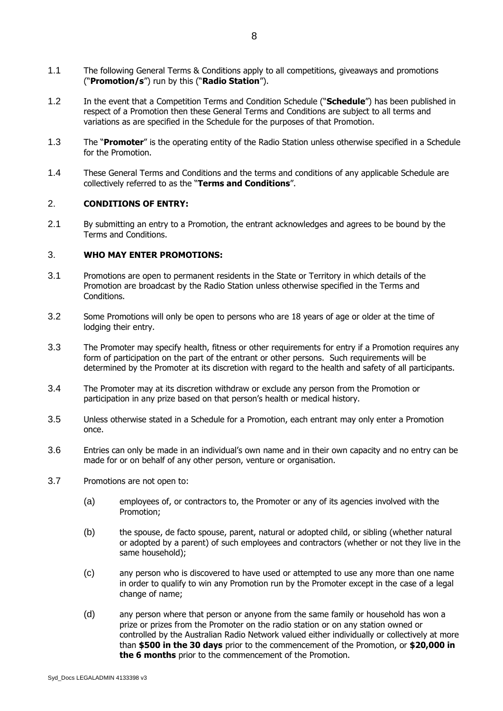- 1.1 The following General Terms & Conditions apply to all competitions, giveaways and promotions ("**Promotion/s**") run by this ("**Radio Station**").
- 1.2 In the event that a Competition Terms and Condition Schedule ("**Schedule**") has been published in respect of a Promotion then these General Terms and Conditions are subject to all terms and variations as are specified in the Schedule for the purposes of that Promotion.
- 1.3 The "**Promoter**" is the operating entity of the Radio Station unless otherwise specified in a Schedule for the Promotion.
- 1.4 These General Terms and Conditions and the terms and conditions of any applicable Schedule are collectively referred to as the "**Terms and Conditions**".

#### 2. **CONDITIONS OF ENTRY:**

2.1 By submitting an entry to a Promotion, the entrant acknowledges and agrees to be bound by the Terms and Conditions.

#### 3. **WHO MAY ENTER PROMOTIONS:**

- 3.1 Promotions are open to permanent residents in the State or Territory in which details of the Promotion are broadcast by the Radio Station unless otherwise specified in the Terms and Conditions.
- 3.2 Some Promotions will only be open to persons who are 18 years of age or older at the time of lodging their entry.
- 3.3 The Promoter may specify health, fitness or other requirements for entry if a Promotion requires any form of participation on the part of the entrant or other persons. Such requirements will be determined by the Promoter at its discretion with regard to the health and safety of all participants.
- 3.4 The Promoter may at its discretion withdraw or exclude any person from the Promotion or participation in any prize based on that person's health or medical history.
- 3.5 Unless otherwise stated in a Schedule for a Promotion, each entrant may only enter a Promotion once.
- 3.6 Entries can only be made in an individual's own name and in their own capacity and no entry can be made for or on behalf of any other person, venture or organisation.
- 3.7 Promotions are not open to:
	- (a) employees of, or contractors to, the Promoter or any of its agencies involved with the Promotion;
	- (b) the spouse, de facto spouse, parent, natural or adopted child, or sibling (whether natural or adopted by a parent) of such employees and contractors (whether or not they live in the same household);
	- (c) any person who is discovered to have used or attempted to use any more than one name in order to qualify to win any Promotion run by the Promoter except in the case of a legal change of name;
	- (d) any person where that person or anyone from the same family or household has won a prize or prizes from the Promoter on the radio station or on any station owned or controlled by the Australian Radio Network valued either individually or collectively at more than **\$500 in the 30 days** prior to the commencement of the Promotion, or **\$20,000 in the 6 months** prior to the commencement of the Promotion.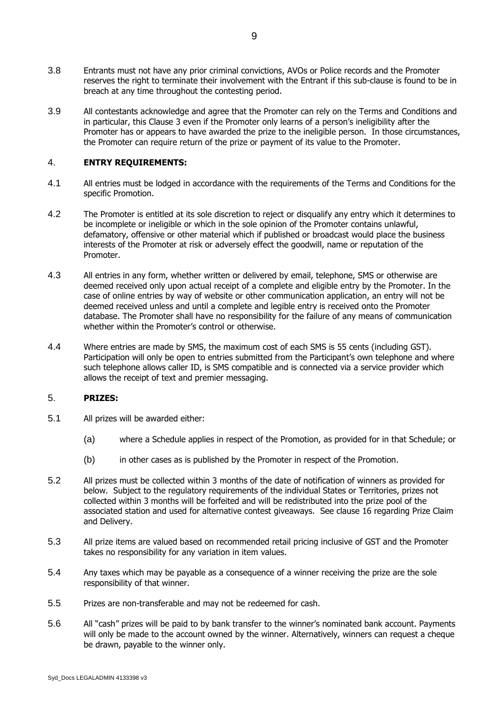- 3.8 Entrants must not have any prior criminal convictions, AVOs or Police records and the Promoter reserves the right to terminate their involvement with the Entrant if this sub-clause is found to be in breach at any time throughout the contesting period.
- 3.9 All contestants acknowledge and agree that the Promoter can rely on the Terms and Conditions and in particular, this Clause 3 even if the Promoter only learns of a person's ineligibility after the Promoter has or appears to have awarded the prize to the ineligible person. In those circumstances, the Promoter can require return of the prize or payment of its value to the Promoter.

#### 4. **ENTRY REQUIREMENTS:**

- 4.1 All entries must be lodged in accordance with the requirements of the Terms and Conditions for the specific Promotion.
- 4.2 The Promoter is entitled at its sole discretion to reject or disqualify any entry which it determines to be incomplete or ineligible or which in the sole opinion of the Promoter contains unlawful, defamatory, offensive or other material which if published or broadcast would place the business interests of the Promoter at risk or adversely effect the goodwill, name or reputation of the Promoter.
- 4.3 All entries in any form, whether written or delivered by email, telephone, SMS or otherwise are deemed received only upon actual receipt of a complete and eligible entry by the Promoter. In the case of online entries by way of website or other communication application, an entry will not be deemed received unless and until a complete and legible entry is received onto the Promoter database. The Promoter shall have no responsibility for the failure of any means of communication whether within the Promoter's control or otherwise.
- 4.4 Where entries are made by SMS, the maximum cost of each SMS is 55 cents (including GST). Participation will only be open to entries submitted from the Participant's own telephone and where such telephone allows caller ID, is SMS compatible and is connected via a service provider which allows the receipt of text and premier messaging.

#### 5. **PRIZES:**

- 5.1 All prizes will be awarded either:
	- (a) where a Schedule applies in respect of the Promotion, as provided for in that Schedule; or
	- (b) in other cases as is published by the Promoter in respect of the Promotion.
- 5.2 All prizes must be collected within 3 months of the date of notification of winners as provided for below. Subject to the regulatory requirements of the individual States or Territories, prizes not collected within 3 months will be forfeited and will be redistributed into the prize pool of the associated station and used for alternative contest giveaways. See clause 16 regarding Prize Claim and Delivery.
- 5.3 All prize items are valued based on recommended retail pricing inclusive of GST and the Promoter takes no responsibility for any variation in item values.
- 5.4 Any taxes which may be payable as a consequence of a winner receiving the prize are the sole responsibility of that winner.
- 5.5 Prizes are non-transferable and may not be redeemed for cash.
- 5.6 All "cash" prizes will be paid to by bank transfer to the winner's nominated bank account. Payments will only be made to the account owned by the winner. Alternatively, winners can request a cheque be drawn, payable to the winner only.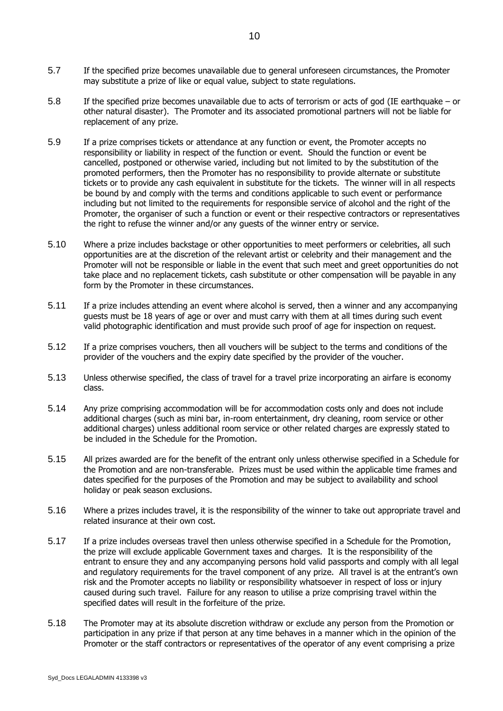- 5.7 If the specified prize becomes unavailable due to general unforeseen circumstances, the Promoter may substitute a prize of like or equal value, subject to state regulations.
- 5.8 If the specified prize becomes unavailable due to acts of terrorism or acts of god (IE earthquake or other natural disaster). The Promoter and its associated promotional partners will not be liable for replacement of any prize.
- 5.9 If a prize comprises tickets or attendance at any function or event, the Promoter accepts no responsibility or liability in respect of the function or event. Should the function or event be cancelled, postponed or otherwise varied, including but not limited to by the substitution of the promoted performers, then the Promoter has no responsibility to provide alternate or substitute tickets or to provide any cash equivalent in substitute for the tickets. The winner will in all respects be bound by and comply with the terms and conditions applicable to such event or performance including but not limited to the requirements for responsible service of alcohol and the right of the Promoter, the organiser of such a function or event or their respective contractors or representatives the right to refuse the winner and/or any guests of the winner entry or service.
- 5.10 Where a prize includes backstage or other opportunities to meet performers or celebrities, all such opportunities are at the discretion of the relevant artist or celebrity and their management and the Promoter will not be responsible or liable in the event that such meet and greet opportunities do not take place and no replacement tickets, cash substitute or other compensation will be payable in any form by the Promoter in these circumstances.
- 5.11 If a prize includes attending an event where alcohol is served, then a winner and any accompanying guests must be 18 years of age or over and must carry with them at all times during such event valid photographic identification and must provide such proof of age for inspection on request.
- 5.12 If a prize comprises vouchers, then all vouchers will be subject to the terms and conditions of the provider of the vouchers and the expiry date specified by the provider of the voucher.
- 5.13 Unless otherwise specified, the class of travel for a travel prize incorporating an airfare is economy class.
- 5.14 Any prize comprising accommodation will be for accommodation costs only and does not include additional charges (such as mini bar, in-room entertainment, dry cleaning, room service or other additional charges) unless additional room service or other related charges are expressly stated to be included in the Schedule for the Promotion.
- 5.15 All prizes awarded are for the benefit of the entrant only unless otherwise specified in a Schedule for the Promotion and are non-transferable. Prizes must be used within the applicable time frames and dates specified for the purposes of the Promotion and may be subject to availability and school holiday or peak season exclusions.
- 5.16 Where a prizes includes travel, it is the responsibility of the winner to take out appropriate travel and related insurance at their own cost.
- 5.17 If a prize includes overseas travel then unless otherwise specified in a Schedule for the Promotion, the prize will exclude applicable Government taxes and charges. It is the responsibility of the entrant to ensure they and any accompanying persons hold valid passports and comply with all legal and regulatory requirements for the travel component of any prize. All travel is at the entrant's own risk and the Promoter accepts no liability or responsibility whatsoever in respect of loss or injury caused during such travel. Failure for any reason to utilise a prize comprising travel within the specified dates will result in the forfeiture of the prize.
- 5.18 The Promoter may at its absolute discretion withdraw or exclude any person from the Promotion or participation in any prize if that person at any time behaves in a manner which in the opinion of the Promoter or the staff contractors or representatives of the operator of any event comprising a prize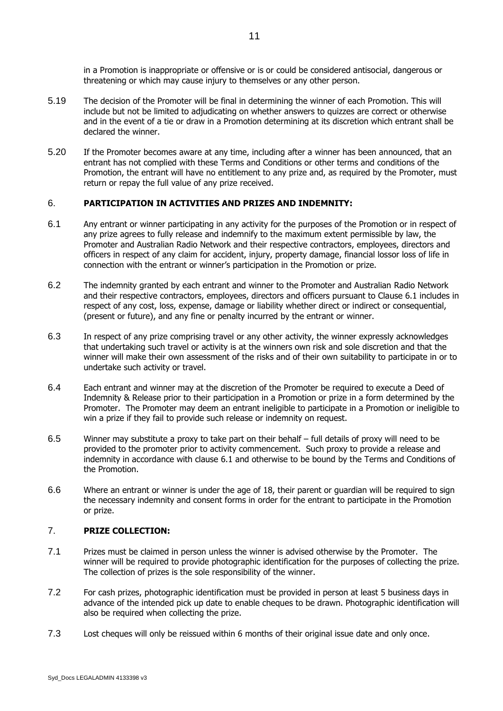in a Promotion is inappropriate or offensive or is or could be considered antisocial, dangerous or threatening or which may cause injury to themselves or any other person.

- 5.19 The decision of the Promoter will be final in determining the winner of each Promotion. This will include but not be limited to adjudicating on whether answers to quizzes are correct or otherwise and in the event of a tie or draw in a Promotion determining at its discretion which entrant shall be declared the winner.
- 5.20 If the Promoter becomes aware at any time, including after a winner has been announced, that an entrant has not complied with these Terms and Conditions or other terms and conditions of the Promotion, the entrant will have no entitlement to any prize and, as required by the Promoter, must return or repay the full value of any prize received.

#### 6. **PARTICIPATION IN ACTIVITIES AND PRIZES AND INDEMNITY:**

- <span id="page-10-0"></span>6.1 Any entrant or winner participating in any activity for the purposes of the Promotion or in respect of any prize agrees to fully release and indemnify to the maximum extent permissible by law, the Promoter and Australian Radio Network and their respective contractors, employees, directors and officers in respect of any claim for accident, injury, property damage, financial lossor loss of life in connection with the entrant or winner's participation in the Promotion or prize.
- 6.2 The indemnity granted by each entrant and winner to the Promoter and Australian Radio Network and their respective contractors, employees, directors and officers pursuant to Clause 6.1 includes in respect of any cost, loss, expense, damage or liability whether direct or indirect or consequential, (present or future), and any fine or penalty incurred by the entrant or winner.
- 6.3 In respect of any prize comprising travel or any other activity, the winner expressly acknowledges that undertaking such travel or activity is at the winners own risk and sole discretion and that the winner will make their own assessment of the risks and of their own suitability to participate in or to undertake such activity or travel.
- 6.4 Each entrant and winner may at the discretion of the Promoter be required to execute a Deed of Indemnity & Release prior to their participation in a Promotion or prize in a form determined by the Promoter. The Promoter may deem an entrant ineligible to participate in a Promotion or ineligible to win a prize if they fail to provide such release or indemnity on request.
- 6.5 Winner may substitute a proxy to take part on their behalf full details of proxy will need to be provided to the promoter prior to activity commencement. Such proxy to provide a release and indemnity in accordance with clause [6.1](#page-10-0) and otherwise to be bound by the Terms and Conditions of the Promotion.
- 6.6 Where an entrant or winner is under the age of 18, their parent or guardian will be required to sign the necessary indemnity and consent forms in order for the entrant to participate in the Promotion or prize.

#### 7. **PRIZE COLLECTION:**

- 7.1 Prizes must be claimed in person unless the winner is advised otherwise by the Promoter. The winner will be required to provide photographic identification for the purposes of collecting the prize. The collection of prizes is the sole responsibility of the winner.
- 7.2 For cash prizes, photographic identification must be provided in person at least 5 business days in advance of the intended pick up date to enable cheques to be drawn. Photographic identification will also be required when collecting the prize.
- 7.3 Lost cheques will only be reissued within 6 months of their original issue date and only once.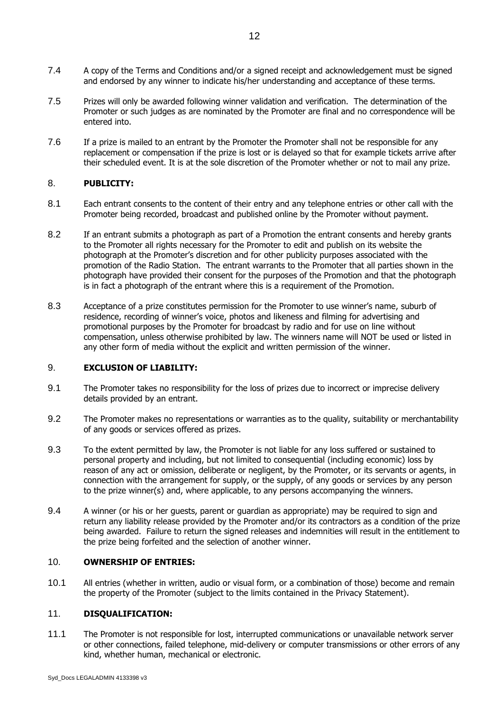- 7.4 A copy of the Terms and Conditions and/or a signed receipt and acknowledgement must be signed and endorsed by any winner to indicate his/her understanding and acceptance of these terms.
- 7.5 Prizes will only be awarded following winner validation and verification. The determination of the Promoter or such judges as are nominated by the Promoter are final and no correspondence will be entered into.
- 7.6 If a prize is mailed to an entrant by the Promoter the Promoter shall not be responsible for any replacement or compensation if the prize is lost or is delayed so that for example tickets arrive after their scheduled event. It is at the sole discretion of the Promoter whether or not to mail any prize.

#### 8. **PUBLICITY:**

- 8.1 Each entrant consents to the content of their entry and any telephone entries or other call with the Promoter being recorded, broadcast and published online by the Promoter without payment.
- 8.2 If an entrant submits a photograph as part of a Promotion the entrant consents and hereby grants to the Promoter all rights necessary for the Promoter to edit and publish on its website the photograph at the Promoter's discretion and for other publicity purposes associated with the promotion of the Radio Station. The entrant warrants to the Promoter that all parties shown in the photograph have provided their consent for the purposes of the Promotion and that the photograph is in fact a photograph of the entrant where this is a requirement of the Promotion.
- 8.3 Acceptance of a prize constitutes permission for the Promoter to use winner's name, suburb of residence, recording of winner's voice, photos and likeness and filming for advertising and promotional purposes by the Promoter for broadcast by radio and for use on line without compensation, unless otherwise prohibited by law. The winners name will NOT be used or listed in any other form of media without the explicit and written permission of the winner.

#### 9. **EXCLUSION OF LIABILITY:**

- 9.1 The Promoter takes no responsibility for the loss of prizes due to incorrect or imprecise delivery details provided by an entrant.
- 9.2 The Promoter makes no representations or warranties as to the quality, suitability or merchantability of any goods or services offered as prizes.
- 9.3 To the extent permitted by law, the Promoter is not liable for any loss suffered or sustained to personal property and including, but not limited to consequential (including economic) loss by reason of any act or omission, deliberate or negligent, by the Promoter, or its servants or agents, in connection with the arrangement for supply, or the supply, of any goods or services by any person to the prize winner(s) and, where applicable, to any persons accompanying the winners.
- 9.4 A winner (or his or her guests, parent or guardian as appropriate) may be required to sign and return any liability release provided by the Promoter and/or its contractors as a condition of the prize being awarded. Failure to return the signed releases and indemnities will result in the entitlement to the prize being forfeited and the selection of another winner.

#### 10. **OWNERSHIP OF ENTRIES:**

10.1 All entries (whether in written, audio or visual form, or a combination of those) become and remain the property of the Promoter (subject to the limits contained in the Privacy Statement).

#### 11. **DISQUALIFICATION:**

11.1 The Promoter is not responsible for lost, interrupted communications or unavailable network server or other connections, failed telephone, mid-delivery or computer transmissions or other errors of any kind, whether human, mechanical or electronic.